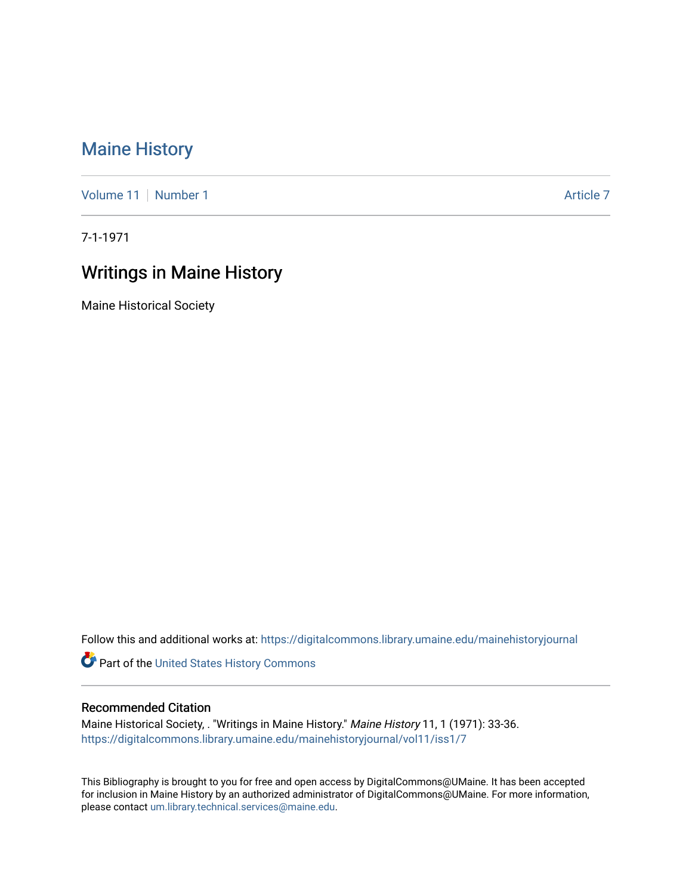## [Maine History](https://digitalcommons.library.umaine.edu/mainehistoryjournal)

[Volume 11](https://digitalcommons.library.umaine.edu/mainehistoryjournal/vol11) [Number 1](https://digitalcommons.library.umaine.edu/mainehistoryjournal/vol11/iss1) Article 7

7-1-1971

## Writings in Maine History

Maine Historical Society

Follow this and additional works at: [https://digitalcommons.library.umaine.edu/mainehistoryjournal](https://digitalcommons.library.umaine.edu/mainehistoryjournal?utm_source=digitalcommons.library.umaine.edu%2Fmainehistoryjournal%2Fvol11%2Fiss1%2F7&utm_medium=PDF&utm_campaign=PDFCoverPages) 

Part of the [United States History Commons](http://network.bepress.com/hgg/discipline/495?utm_source=digitalcommons.library.umaine.edu%2Fmainehistoryjournal%2Fvol11%2Fiss1%2F7&utm_medium=PDF&utm_campaign=PDFCoverPages) 

## Recommended Citation

Maine Historical Society, . "Writings in Maine History." Maine History 11, 1 (1971): 33-36. [https://digitalcommons.library.umaine.edu/mainehistoryjournal/vol11/iss1/7](https://digitalcommons.library.umaine.edu/mainehistoryjournal/vol11/iss1/7?utm_source=digitalcommons.library.umaine.edu%2Fmainehistoryjournal%2Fvol11%2Fiss1%2F7&utm_medium=PDF&utm_campaign=PDFCoverPages)

This Bibliography is brought to you for free and open access by DigitalCommons@UMaine. It has been accepted for inclusion in Maine History by an authorized administrator of DigitalCommons@UMaine. For more information, please contact [um.library.technical.services@maine.edu.](mailto:um.library.technical.services@maine.edu)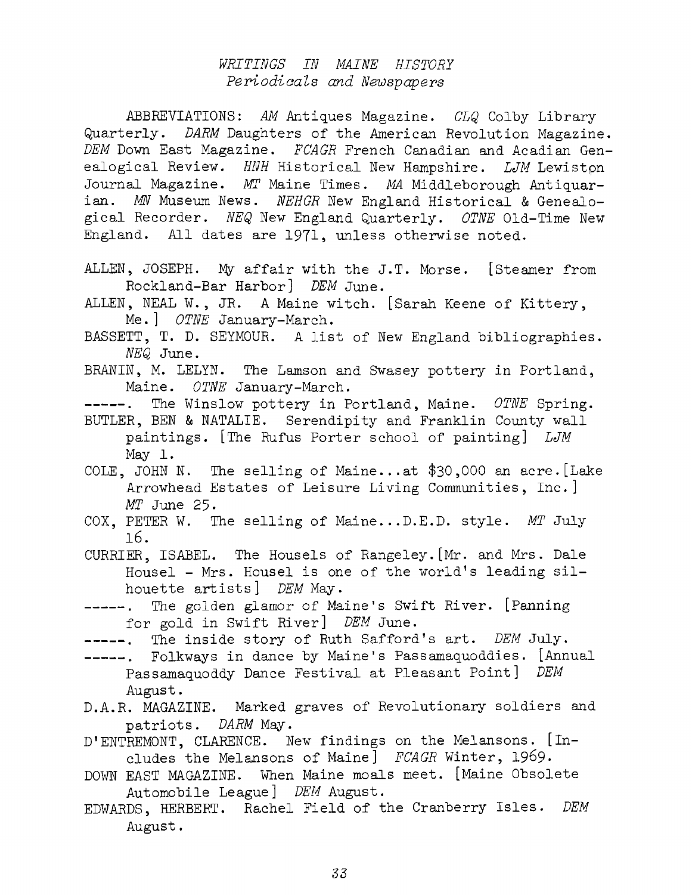## *WRITINGS IN MAINE HISTORE Periodicals and Newspapers*

ABBREVIATIONS: *AM* Antiques Magazine. *CLQ* Colby Library Quarterly. *DARM* Daughters of the American Revolution Magazine. *DEM* Down East Magazine. *FCAGR* French Canadian and Acadian Genealogical Review. *HNH* Historical New Hampshire. *LJM* Lewistpn Journal Magazine. *MT* Maine Times. *MA* Middleborough Antiquarian. *MN* Museum News. *NEHGR* New England Historical & Genealogical Recorder. *NEQ* New England Quarterly. *OTNE* Old-Time New England. All dates are 1971, unless otherwise noted.

ALLEN, JOSEPH. My affair with the J.T. Morse. [Steamer from Rockland-Bar Harbor] *DEM* June.

ALLEN, NEAL W. , JR. <sup>A</sup> Maine witch. [Sarah Keene of Kittery, Me.] *OTNE* January-March.

BASSETT, T. D. SEYMOUR. <sup>A</sup> list of New England bibliographies. *NEQ* June.

BRANIN, M. LELYN. The Lamson and Swasey pottery in Portland, Maine. *OTNE* January-March.

-----. The Winslow pottery in Portland, Maine. *OTNE* Spring. BUTLER, BEN & NATALIE. Serendipity and Franklin County wall

paintings. [The Rufus Porter school of painting] *LJM* May 1.

COLE, JOHN N. The selling of Maine...at \$30,000 an acre.[Lake Arrowhead Estates of Leisure Living Communities, Inc.] *MT* June 25-

COX, PETER W. The selling of Maine...D.E.D. style. *MT* July 16.

CURRIER, ISABEL. The Housels of Rangeley.[Mr. and Mrs. Dale Housel - Mrs. Housel is one of the world'<sup>s</sup> leading silhouette artists] *DEM* May.

- ------ . The golden glamor of Maine'<sup>s</sup> Swift River. [Panning for gold in Swift River] *DEM* June.
- -----. The inside story of Ruth Safford's art. *DEM* July.
- Folkways in dance by Maine'<sup>s</sup> Passamaquoddies. [Annual Passamaquoddy Dance Festival at Pleasant Point] *DEM* August.
- D.A.R. MAGAZINE. Marked graves of Revolutionary soldiers and patriots. *DARM* May.
- D'ENTREMONT, CLARENCE. New findings on the Melansons. [Includes the Melansons of Maine] *FCAGR* Winter, 1969.
- DOWN EAST MAGAZINE. When Maine moals meet. [Maine Obsolete Automobile League] *DEM* August.
- EDWARDS, HERBERT. Rachel Field of the Cranberry Isles. *DEM* August.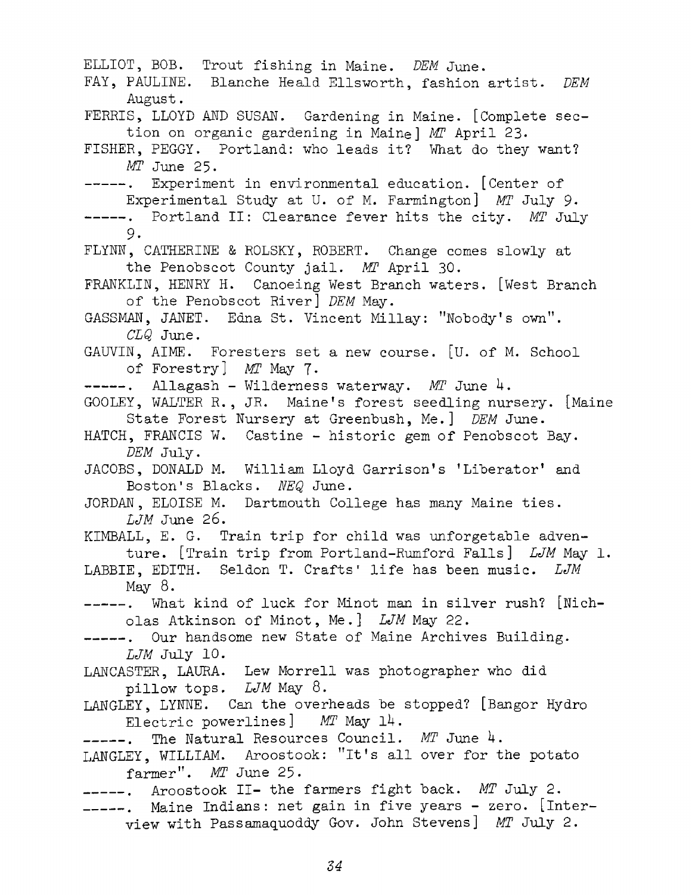ELLIOT, BOB. Trout fishing in Maine. *DEM* June. FAY, PAULINE. Blanche Heald Ellsworth, fashion artist. *DEM* August. FERRIS, LLOYD AND SUSAN. Gardening in Maine. [Complete section on organic gardening in Maine] MT April 23. FISHER, PEGGY. Portland: who leads it? What do they want? *MT* June 25. -----. Experiment in environmental education. [Center of Experimental Study at U. of M. Farmington] MT July 9. -----. Portland II: Clearance fever hits the city. *MT* July 9. FLYNN, CATHERINE & ROLSKY, ROBERT. Change comes slowly at the Penobscot County jail. *MT* April 30. FRANKLIN, HENRY H. Canoeing West Branch waters. [West Branch of the Penobscot River] *DEM* May. GASSMAN, JANET. Edna St. Vincent Millay: "Nobody'<sup>s</sup> own". *CLQ* June. GAUVIN, AIME. Foresters set a new course. [U. of M. School of Forestry] *MT* May 7. -----. Allagash - Wilderness waterway. *MT* June 4. G00LEY, WALTER R., JR. Maine'<sup>s</sup> forest seedling nursery. [Maine State Forest Nursery at Greenbush, Me.] *DEM* June. HATCH, FRANCIS W. Castine - historic gem of Penobscot Bay. *DEM* July. JACOBS, DONALD M. William Lloyd Garrison'<sup>s</sup> 'Liberator' and Boston's Blacks. *NEQ* June. JORDAN, ELOISE M. Dartmouth College has many Maine ties. *LJM* June 26. KIMBALL, E. G. Train trip for child was unforgetable adventure. [Train trip from Portland-Rumford Falls] *LJM* May 1. LABBIE, EDITH. Seldon T. Crafts' life has been music. LJM May  $8.$ ------What kind of luck for Minot man in silver rush? [Nicholas Atkinson of Minot, Me.] *LJM* May 22. -----. Our handsome new State of Maine Archives Building. *LJM* July 10. LANCASTER, LAURA. Lew Morrell was photographer who did pillow tops, *LJM* May 8. LANGLEY, LYNNE. Can the overheads be stopped? [Bangor Hydro Electric powerlines] *MT* May 1H. -----. The Natural Resources Council. MT June 4. LANGLEY, WILLIAM. Aroostook: "it'<sup>s</sup> all over for the potato farmer". *MT* June 25. Aroostook II- the farmers fight back. *MT* July 2. Maine Indians: net gain in five years - zero, [interview with Passamaquoddy Gov. John Stevens] *MT* July 2.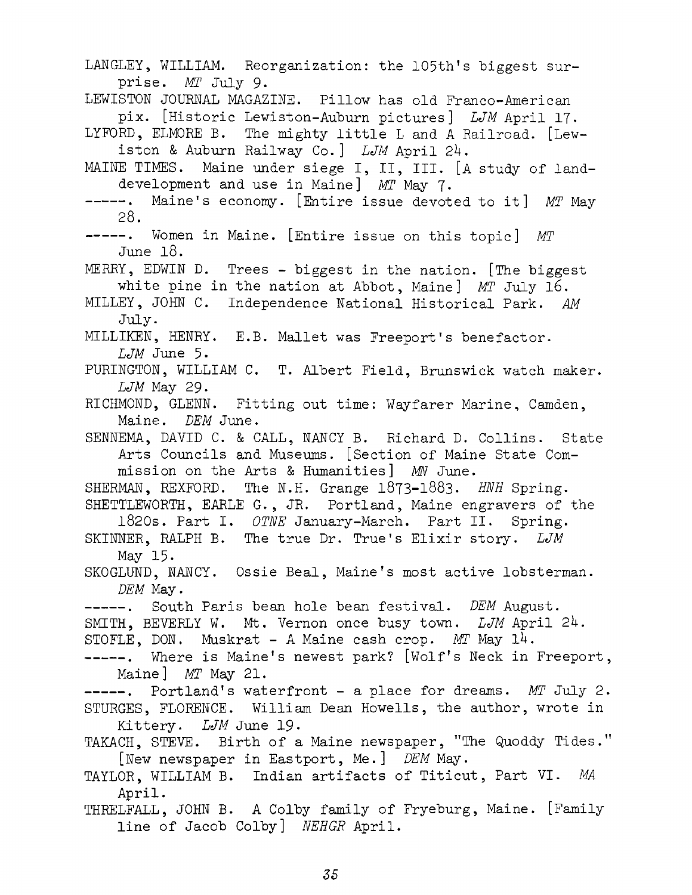LANGLEY, WILLIAM. Reorganization: the 105th's biggest surprise. *MT* July 9. LEWISTON JOURNAL MAGAZINE. Pillow has old Franco-American pix. [Historic Lewiston-Auburn pictures] *LJM* April 17. LYFORD, ELMORE B. The mighty little <sup>L</sup> and <sup>A</sup> Railroad. [Lewiston & Auburn Railway Co.] *LJM* April 24. MAINE TIMES. Maine under siege I, II, III. [A study of landdevelopment and use in Maine] *MT* May 7. ------ . Maine'<sup>s</sup> economy. [Entire issue devoted to it] *MT* May 28. ------ . Women in Maine. [Entire issue on this topic] *MT* June 18. MERRY, EDWIN D. Trees - biggest in the nation. [The biggest white pine in the nation at Abbot, Maine] *MT* July 16. MILLEY, JOHN C. Independence National Historical Park. *AM July.* MILLIKEN, HENRY. E.B. Mallet was Freeport'<sup>s</sup> benefactor. *LJM* June 5. PURINGTON, WILLIAM C. T. Albert Field, Brunswick watch maker. *LJM May* 29- RICHMOND, GLENN. Fitting out time: Wayfarer Marine, Camden, Maine. *DEM* June. SENNEMA, DAVID C. & CALL, NANCY B. Richard D. Collins. State Arts Councils and Museums. [Section of Maine State Commission on the Arts & Humanities] MW June. SHERMAN, REXFORD. The N.H. Grange 1873-1883. *HNH* Spring. SHETTLEWORTH, EARLE G., JR. Portland, Maine engravers of the 1820s. Part I. *OTNE* January-March. Part II. Spring. SKINNER, RALPH B. The true Dr. True'<sup>s</sup> Elixir story. *LJM* May 15. SKOGLUND, NANCY. Ossie Beal, Maine's most active lobsterman. *DEM* May. -----. South Paris bean hole bean festival. *DEM* August. SMITH, BEVERLY W. Mt. Vernon once busy town. *LJM* April 24. STOFLE, DON. Muskrat - A Maine cash crop. *MT* May 14. -----. Where is Maine's newest park? [Wolf's Neck in Freeport, Maine] *MT* May 21. -----. Portland's waterfront - a place for dreams. *MT* July 2. STURGES, FLORENCE. William Dean Howells, the author, wrote in Kittery. *LJM* June 19- TAKACH, STEVE. Birth of a Maine newspaper, "The Quoddy Tides." [New newspaper in Eastport, Me.] *DEM* May. TAYLOR, WILLIAM B. Indian artifacts of Titicut, Part VI. *MA* April. THRELFALL, JOHN B. A Colby family of Fryeburg, Maine. [Family line of Jacob Colby] *NEHGR* April.